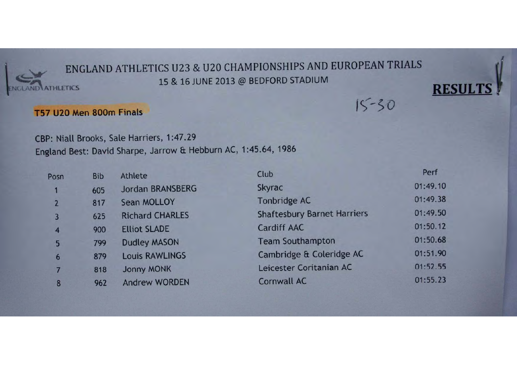

# ENGLAND ATHLETICS U23 & U20 CHAMPIONSHIPS AND EUROPEAN TRIALS 15 & 16 JUNE 2013 @ BEDFORD STADIUM

**RESUL** 

 $15 - 30$ 

# T57 U20 Men 800m Finals

CBP: Niall Brooks, Sale Harriers, 1:47.29 England Best: David Sharpe, Jarrow & Hebburn AC, 1:45.64, 1986

| Posn           | <b>Bib</b> | Athlete                 | Club                               | Perf     |
|----------------|------------|-------------------------|------------------------------------|----------|
|                | 605        | <b>Jordan BRANSBERG</b> | Skyrac                             | 01:49.10 |
|                | 817        | Sean MOLLOY             | <b>Tonbridge AC</b>                | 01:49.38 |
| $\overline{3}$ | 625        | <b>Richard CHARLES</b>  | <b>Shaftesbury Barnet Harriers</b> | 01:49.50 |
| $\overline{4}$ | 900        | <b>Elliot SLADE</b>     | <b>Cardiff AAC</b>                 | 01:50.12 |
| 5              | 799        | <b>Dudley MASON</b>     | <b>Team Southampton</b>            | 01:50.68 |
| 6              | 879        | <b>Louis RAWLINGS</b>   | Cambridge & Coleridge AC           | 01:51.90 |
|                | 818        | <b>Jonny MONK</b>       | Leicester Coritanian AC            | 01:52.55 |
| 8              | 962        | <b>Andrew WORDEN</b>    | <b>Cornwall AC</b>                 | 01:55.23 |
|                |            |                         |                                    |          |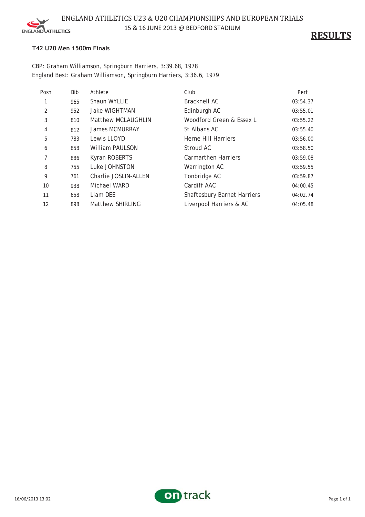

**RESULTS**

## **T42 U20 Men 1500m Finals**

CBP: Graham Williamson, Springburn Harriers, 3:39.68, 1978 England Best: Graham Williamson, Springburn Harriers, 3:36.6, 1979

| Posn          | <b>Bib</b> | Athlete                 | Club                               | Perf     |
|---------------|------------|-------------------------|------------------------------------|----------|
|               | 965        | Shaun WYLLIE            | <b>Bracknell AC</b>                | 03:54.37 |
| $\mathcal{P}$ | 952        | <b>Jake WIGHTMAN</b>    | Edinburgh AC                       | 03:55.01 |
| 3             | 810        | Matthew MCLAUGHLIN      | Woodford Green & Essex L           | 03:55.22 |
| 4             | 812        | <b>James MCMURRAY</b>   | St Albans AC                       | 03:55.40 |
| 5             | 783        | Lewis LLOYD             | Herne Hill Harriers                | 03:56.00 |
| 6             | 858        | William PAULSON         | Stroud AC                          | 03:58.50 |
|               | 886        | Kyran ROBERTS           | <b>Carmarthen Harriers</b>         | 03:59.08 |
| 8             | 755        | Luke JOHNSTON           | Warrington AC                      | 03:59.55 |
| 9             | 761        | Charlie JOSLIN-ALLEN    | Tonbridge AC                       | 03:59.87 |
| 10            | 938        | Michael WARD            | Cardiff AAC                        | 04:00.45 |
| 11            | 658        | Liam DEE                | <b>Shaftesbury Barnet Harriers</b> | 04:02.74 |
| 12            | 898        | <b>Matthew SHIRLING</b> | Liverpool Harriers & AC            | 04:05.48 |

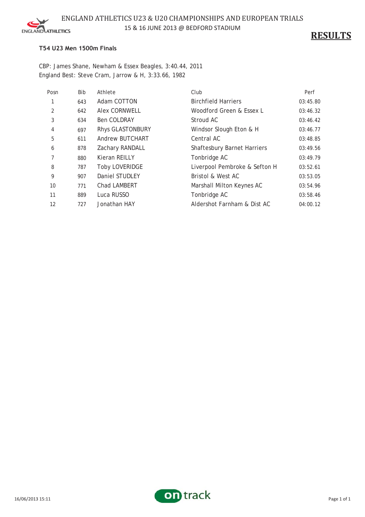

### ENGLAND ATHLETICS U23 & U20 CHAMPIONSHIPS AND EUROPEAN TRIALS 15 & 16 JUNE 2013 @ BEDFORD STADIUM

**RESULTS**

#### **T54 U23 Men 1500m Finals**

CBP: James Shane, Newham & Essex Beagles, 3:40.44, 2011 England Best: Steve Cram, Jarrow & H, 3:33.66, 1982

| Posn | Bib | Athlete               | Club                               | Perf     |
|------|-----|-----------------------|------------------------------------|----------|
|      | 643 | Adam COTTON           | <b>Birchfield Harriers</b>         | 03:45.80 |
| 2    | 642 | <b>Alex CORNWELL</b>  | Woodford Green & Essex L           | 03:46.32 |
| 3    | 634 | <b>Ben COLDRAY</b>    | Stroud AC                          | 03:46.42 |
| 4    | 697 | Rhys GLASTONBURY      | Windsor Slough Eton & H            | 03:46.77 |
| 5    | 611 | Andrew BUTCHART       | Central AC                         | 03:48.85 |
| 6    | 878 | Zachary RANDALL       | <b>Shaftesbury Barnet Harriers</b> | 03:49.56 |
|      | 880 | Kieran REILLY         | Tonbridge AC                       | 03:49.79 |
| 8    | 787 | <b>Toby LOVERIDGE</b> | Liverpool Pembroke & Sefton H      | 03:52.61 |
| 9    | 907 | Daniel STUDLEY        | Bristol & West AC                  | 03:53.05 |
| 10   | 771 | Chad LAMBERT          | Marshall Milton Keynes AC          | 03:54.96 |
| 11   | 889 | Luca RUSSO            | Tonbridge AC                       | 03:58.46 |
| 12   | 727 | Jonathan HAY          | Aldershot Farnham & Dist AC        | 04:00.12 |